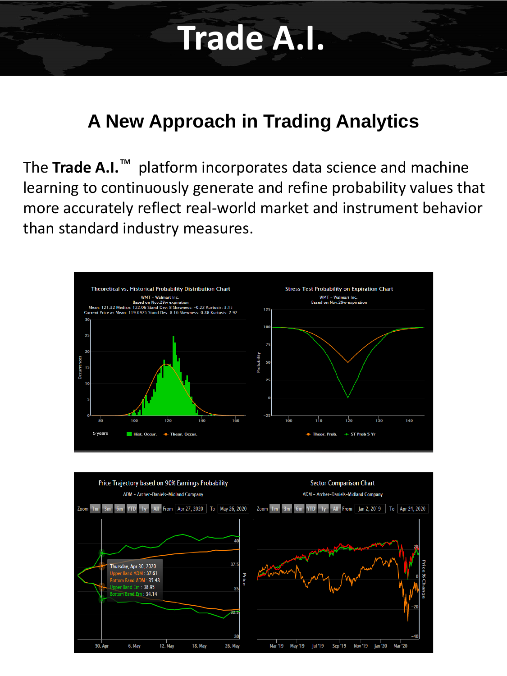# **Trade A.I.**

### **A New Approach in Trading Analytics**

The Trade A.I.<sup>™</sup> platform incorporates data science and machine learning to continuously generate and refine probability values that more accurately reflect real-world market and instrument behavior than standard industry measures.



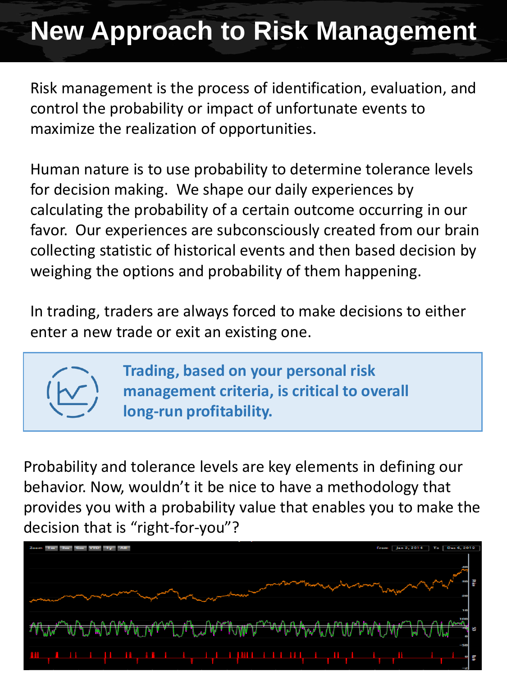# **New Approach to Risk Management**

Risk management is the process of identification, evaluation, and control the probability or impact of unfortunate events to maximize the realization of opportunities.

Human nature is to use probability to determine tolerance levels for decision making. We shape our daily experiences by calculating the probability of a certain outcome occurring in our favor. Our experiences are subconsciously created from our brain collecting statistic of historical events and then based decision by weighing the options and probability of them happening.

In trading, traders are always forced to make decisions to either enter a new trade or exit an existing one.



**Trading, based on your personal risk management criteria, is critical to overall long-run profitability.**

Probability and tolerance levels are key elements in defining our behavior. Now, wouldn't it be nice to have a methodology that provides you with a probability value that enables you to make the decision that is "right-for-you"?

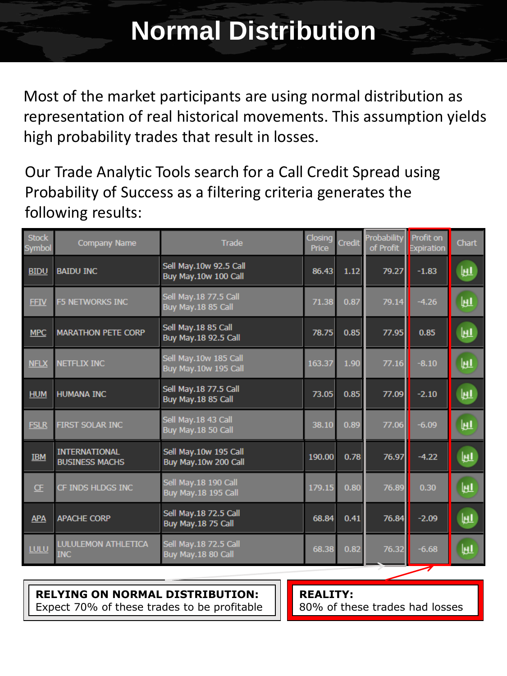Most of the market participants are using normal distribution as representation of real historical movements. This assumption yields high probability trades that result in losses.

Our Trade Analytic Tools search for a Call Credit Spread using Probability of Success as a filtering criteria generates the following results:

| <b>Stock</b><br>Symbol | <b>Company Name</b>                           | Trade                                              | Closing<br>Price | Credit | Probability<br>of Profit | <b>Profit on</b><br><b>Expiration</b> | Chart |
|------------------------|-----------------------------------------------|----------------------------------------------------|------------------|--------|--------------------------|---------------------------------------|-------|
| <b>BIDU</b>            | <b>BAIDU INC</b>                              | Sell May.10w 92.5 Call<br>Buy May.10w 100 Call     | 86.43            | 1.12   | 79.27                    | $-1.83$                               | 匝     |
| <b>FFIV</b>            | <b>F5 NETWORKS INC</b>                        | Sell May.18 77.5 Call<br>Buy May.18 85 Call        | 71.38            | 0.87   | 79.14                    | $-4.26$                               | 匝     |
| <b>MPC</b>             | <b>MARATHON PETE CORP</b>                     | Sell May.18 85 Call<br>Buy May.18 92.5 Call        | 78.75            | 0.85   | 77.95                    | 0.85                                  | 匝     |
| <b>NFLX</b>            | <b>NETFLIX INC</b>                            | Sell May.10w 185 Call<br>Buy May.10w 195 Call      | 163.37           | 1.90   | 77.16                    | $-8.10$                               | 匝     |
| <b>HUM</b>             | <b>HUMANA INC</b>                             | Sell May.18 77.5 Call<br>Buy May.18 85 Call        | 73.05            | 0.85   | 77.09                    | $-2.10$                               | 町     |
| <b>FSLR</b>            | FIRST SOLAR INC                               | Sell May.18 43 Call<br>Buy May.18 50 Call          | 38.10            | 0.89   | 77.06                    | $-6.09$                               | 匝     |
| <b>IBM</b>             | <b>INTERNATIONAL</b><br><b>BUSINESS MACHS</b> | Sell May.10w 195 Call<br>Buy May.10w 200 Call      | 190.00           | 0.78   | 76.97                    | $-4.22$                               | Μ     |
| CF                     | <b>CF INDS HLDGS INC</b>                      | Sell May.18 190 Call<br><b>Buy May.18 195 Call</b> | 179.15           | 0.80   | 76.89                    | 0.30                                  | 匝     |
| <b>APA</b>             | <b>APACHE CORP</b>                            | Sell May.18 72.5 Call<br>Buy May.18 75 Call        | 68.84            | 0.41   | 76.84                    | $-2.09$                               | 匪     |
| <b>LULU</b>            | <b>LULULEMON ATHLETICA</b><br><b>INC</b>      | Sell May.18 72.5 Call<br>Buy May. 18 80 Call       | 68.38            | 0.82   | 76.32                    | $-6.68$                               | 匝     |

#### **RELYING ON NORMAL DISTRIBUTION:**

Expect 70% of these trades to be profitable

**REALITY:**  80% of these trades had losses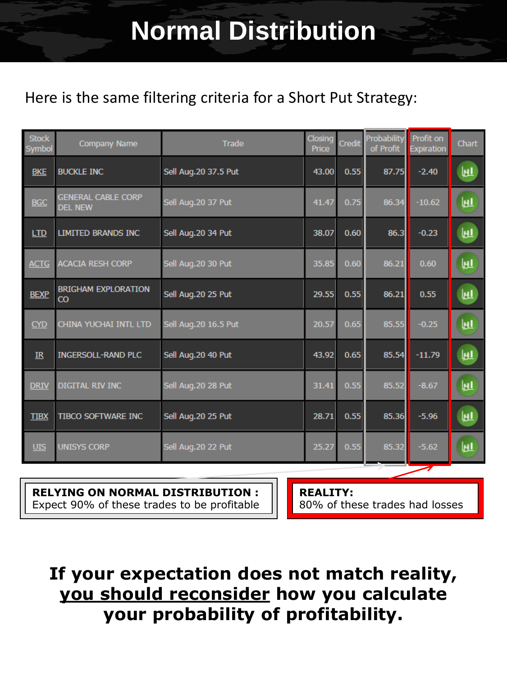### **Normal Distribution**

### Here is the same filtering criteria for a Short Put Strategy:

| <b>Stock</b><br>Symbol | Company Name                                 | <b>Trade</b>          | Closing<br>Price | Credit | Probability<br>of Profit | Profit on<br><b>Expiration</b> | <b>Chart</b> |
|------------------------|----------------------------------------------|-----------------------|------------------|--------|--------------------------|--------------------------------|--------------|
| <b>BKE</b>             | <b>BUCKLE INC</b>                            | Sell Aug.20 37.5 Put  | 43.00            | 0.55   | 87.75                    | $-2.40$                        | 町            |
| <b>BGC</b>             | <b>GENERAL CABLE CORP</b><br><b>DEL NEW</b>  | Sell Aug.20 37 Put    | 41.47            | 0.75   | 86.34                    | $-10.62$                       | 町            |
| LTD                    | LIMITED BRANDS INC                           | Sell Aug.20 34 Put    | 38.07            | 0.60   | 86.3                     | $-0.23$                        | 匪            |
| <b>ACTG</b>            | <b>ACACIA RESH CORP</b>                      | Sell Aug.20 30 Put    | 35.85            | 0.60   | 86.21                    | 0.60                           | 匪            |
| <b>BEXP</b>            | <b>BRIGHAM EXPLORATION</b><br>$\overline{c}$ | Sell Aug.20 25 Put    | 29.55            | 0.55   | 86.21                    | 0.55                           | 町            |
| CYD                    | CHINA YUCHAI INTL LTD                        | Sell Aug. 20 16.5 Put | 20.57            | 0.65   | 85.55                    | $-0.25$                        | 匝            |
| IR                     | <b>INGERSOLL-RAND PLC</b>                    | Sell Aug.20 40 Put    | 43.92            | 0.65   | 85.54                    | $-11.79$                       | 匪            |
| <b>DRIV</b>            | <b>DIGITAL RIV INC</b>                       | Sell Aug.20 28 Put    | 31.41            | 0.55   | 85.52                    | $-8.67$                        | 匝            |
| <b>TIBX</b>            | <b>TIBCO SOFTWARE INC</b>                    | Sell Aug.20 25 Put    | 28.71            | 0.55   | 85.36                    | $-5.96$                        | 町            |
| <b>UIS</b>             | <b>UNISYS CORP</b>                           | Sell Aug.20 22 Put    | 25.27            | 0.55   | 85.32                    | $-5.62$                        | 匝            |

#### **RELYING ON NORMAL DISTRIBUTION :**

Expect 90% of these trades to be profitable

**REALITY:** 

80% of these trades had losses

### **If your expectation does not match reality, you should reconsider how you calculate your probability of profitability.**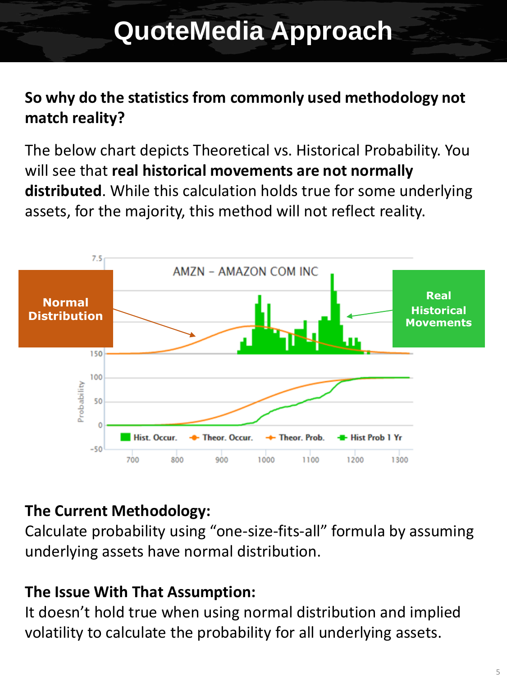### **QuoteMedia Approach**

### **So why do the statistics from commonly used methodology not match reality?**

The below chart depicts Theoretical vs. Historical Probability. You will see that **real historical movements are not normally distributed**. While this calculation holds true for some underlying assets, for the majority, this method will not reflect reality.



### **The Current Methodology:**

Calculate probability using "one-size-fits-all" formula by assuming underlying assets have normal distribution.

#### **The Issue With That Assumption:**

It doesn't hold true when using normal distribution and implied volatility to calculate the probability for all underlying assets.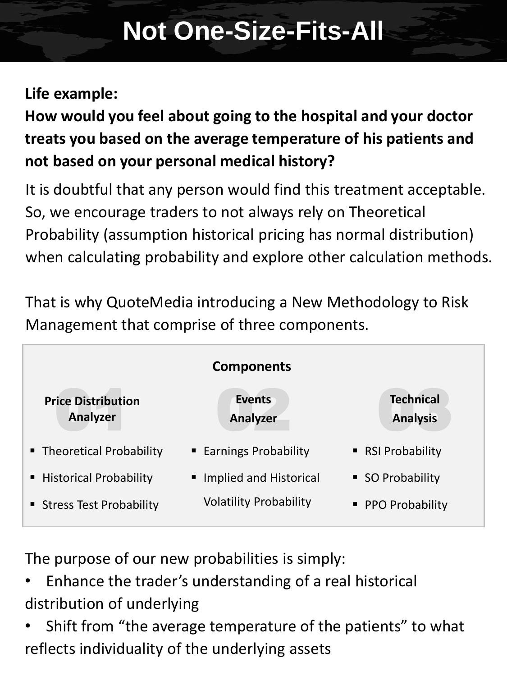## **Not One-Size-Fits-All**

### **Life example:**

**How would you feel about going to the hospital and your doctor treats you based on the average temperature of his patients and not based on your personal medical history?**

It is doubtful that any person would find this treatment acceptable. So, we encourage traders to not always rely on Theoretical Probability (assumption historical pricing has normal distribution) when calculating probability and explore other calculation methods.

That is why QuoteMedia introducing a New Methodology to Risk Management that comprise of three components.



The purpose of our new probabilities is simply:

- Enhance the trader's understanding of a real historical distribution of underlying
- Shift from "the average temperature of the patients" to what reflects individuality of the underlying assets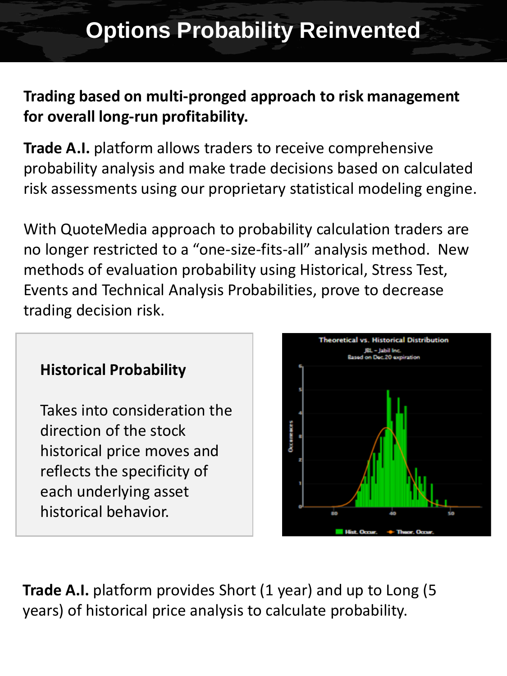### **Trading based on multi-pronged approach to risk management for overall long-run profitability.**

**Trade A.I.** platform allows traders to receive comprehensive probability analysis and make trade decisions based on calculated risk assessments using our proprietary statistical modeling engine.

With QuoteMedia approach to probability calculation traders are no longer restricted to a "one-size-fits-all" analysis method. New methods of evaluation probability using Historical, Stress Test, Events and Technical Analysis Probabilities, prove to decrease trading decision risk.

### **Historical Probability**

Takes into consideration the direction of the stock historical price moves and reflects the specificity of each underlying asset historical behavior.



**Trade A.I.** platform provides Short (1 year) and up to Long (5 years) of historical price analysis to calculate probability.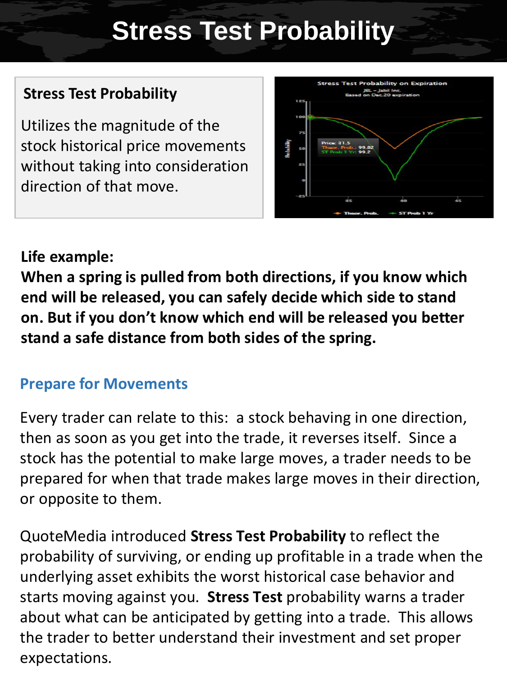### **Stress Test Probability**

### **Stress Test Probability**

Utilizes the magnitude of the stock historical price movements without taking into consideration direction of that move.



#### **Life example:**

**When a spring is pulled from both directions, if you know which end will be released, you can safely decide which side to stand on. But if you don't know which end will be released you better stand a safe distance from both sides of the spring.**

#### **Prepare for Movements**

Every trader can relate to this: a stock behaving in one direction, then as soon as you get into the trade, it reverses itself. Since a stock has the potential to make large moves, a trader needs to be prepared for when that trade makes large moves in their direction, or opposite to them.

QuoteMedia introduced **Stress Test Probability** to reflect the probability of surviving, or ending up profitable in a trade when the underlying asset exhibits the worst historical case behavior and starts moving against you. **Stress Test** probability warns a trader about what can be anticipated by getting into a trade. This allows the trader to better understand their investment and set proper expectations.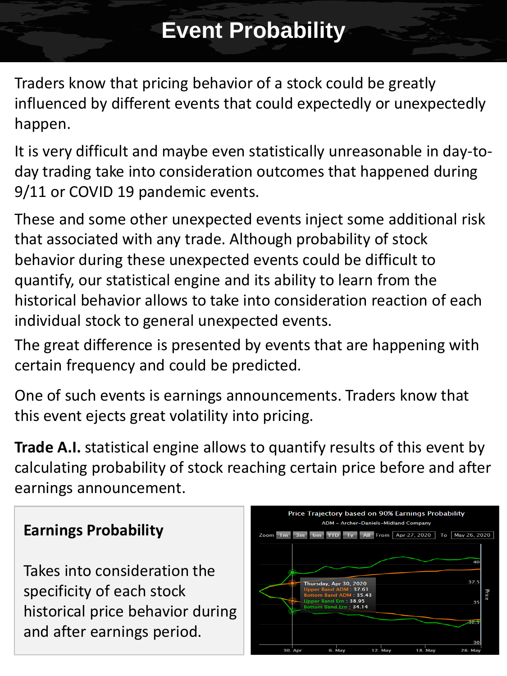### **Event Probability**

Traders know that pricing behavior of a stock could be greatly influenced by different events that could expectedly or unexpectedly happen.

It is very difficult and maybe even statistically unreasonable in day-today trading take into consideration outcomes that happened during 9/11 or COVID 19 pandemic events.

These and some other unexpected events inject some additional risk that associated with any trade. Although probability of stock behavior during these unexpected events could be difficult to quantify, our statistical engine and its ability to learn from the historical behavior allows to take into consideration reaction of each individual stock to general unexpected events.

The great difference is presented by events that are happening with certain frequency and could be predicted.

One of such events is earnings announcements. Traders know that this event ejects great volatility into pricing.

**Trade A.I.** statistical engine allows to quantify results of this event by calculating probability of stock reaching certain price before and after earnings announcement.

### Price Trajectory based on 90% Earnings Probability ADM - Archer-Daniels-Midland Company Zoom 1 m 3 m 6 m YTD 1y All From Apr 27, 2020 To May 26, 2020 Thursday, Apr 30, 2020 38.95

#### **Earnings Probability**

Takes into consideration the specificity of each stock historical price behavior during and after earnings period.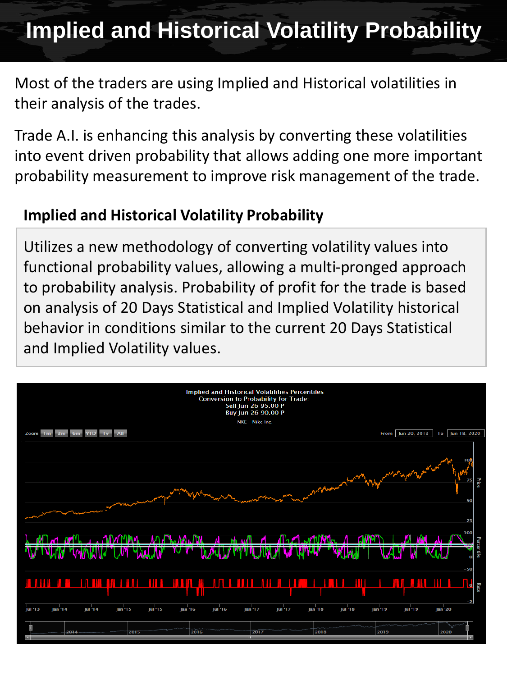### **Implied and Historical Volatility Probability**

Most of the traders are using Implied and Historical volatilities in their analysis of the trades.

Trade A.I. is enhancing this analysis by converting these volatilities into event driven probability that allows adding one more important probability measurement to improve risk management of the trade.

#### **Implied and Historical Volatility Probability**

Utilizes a new methodology of converting volatility values into functional probability values, allowing a multi-pronged approach to probability analysis. Probability of profit for the trade is based on analysis of 20 Days Statistical and Implied Volatility historical behavior in conditions similar to the current 20 Days Statistical and Implied Volatility values.

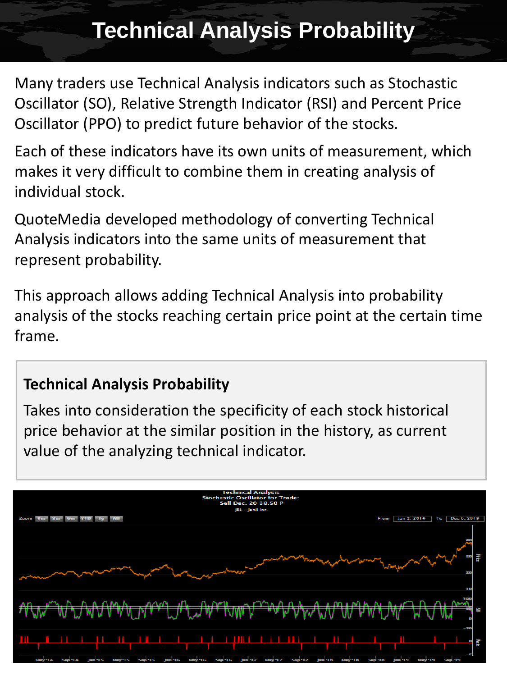### **Technical Analysis Probability**

Many traders use Technical Analysis indicators such as Stochastic Oscillator (SO), Relative Strength Indicator (RSI) and Percent Price Oscillator (PPO) to predict future behavior of the stocks.

Each of these indicators have its own units of measurement, which makes it very difficult to combine them in creating analysis of individual stock.

QuoteMedia developed methodology of converting Technical Analysis indicators into the same units of measurement that represent probability.

This approach allows adding Technical Analysis into probability analysis of the stocks reaching certain price point at the certain time frame.

#### **Technical Analysis Probability**

Takes into consideration the specificity of each stock historical price behavior at the similar position in the history, as current value of the analyzing technical indicator.

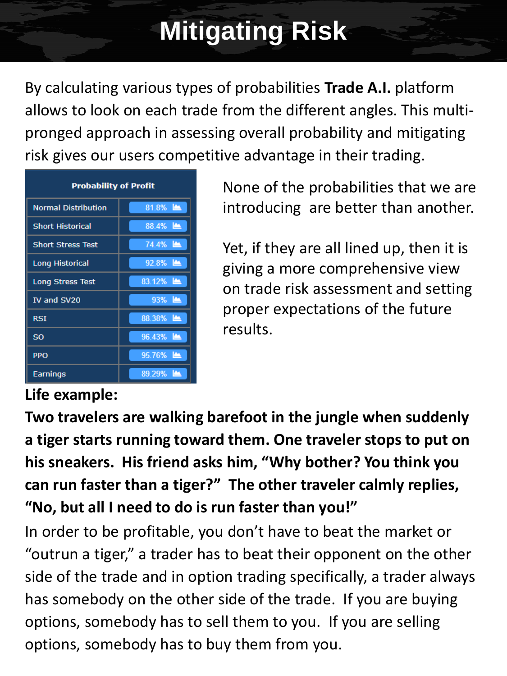# **Mitigating Risk**

By calculating various types of probabilities **Trade A.I.** platform allows to look on each trade from the different angles. This multipronged approach in assessing overall probability and mitigating risk gives our users competitive advantage in their trading.

| <b>Probability of Profit</b> |                    |  |  |  |  |  |
|------------------------------|--------------------|--|--|--|--|--|
| <b>Normal Distribution</b>   | $81.8\%$           |  |  |  |  |  |
| <b>Short Historical</b>      | 88.4%              |  |  |  |  |  |
| <b>Short Stress Test</b>     | 74.4%              |  |  |  |  |  |
| <b>Long Historical</b>       | 92.8%              |  |  |  |  |  |
| <b>Long Stress Test</b>      | 83.12%             |  |  |  |  |  |
| IV and SV20                  | 93% 鱼              |  |  |  |  |  |
| <b>RSI</b>                   | 88.38%             |  |  |  |  |  |
| <b>SO</b>                    | 96.43%             |  |  |  |  |  |
| <b>PPO</b>                   | $95.76\%$ <u>A</u> |  |  |  |  |  |
| Earnings                     | 89.29%             |  |  |  |  |  |

None of the probabilities that we are introducing are better than another.

Yet, if they are all lined up, then it is giving a more comprehensive view on trade risk assessment and setting proper expectations of the future results.

### **Life example:**

**Two travelers are walking barefoot in the jungle when suddenly a tiger starts running toward them. One traveler stops to put on his sneakers. His friend asks him, "Why bother? You think you can run faster than a tiger?" The other traveler calmly replies, "No, but all I need to do is run faster than you!"**

In order to be profitable, you don't have to beat the market or "outrun a tiger," a trader has to beat their opponent on the other side of the trade and in option trading specifically, a trader always has somebody on the other side of the trade. If you are buying options, somebody has to sell them to you. If you are selling options, somebody has to buy them from you.